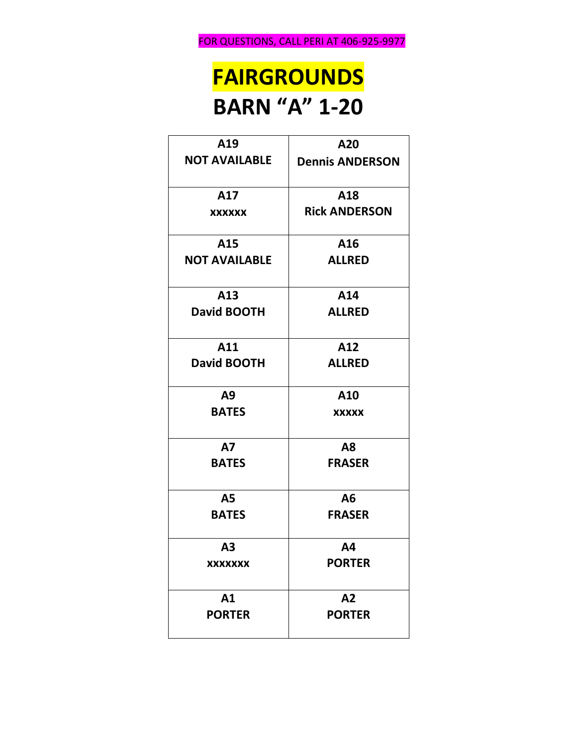## **FAIRGROUNDS BARN "A" 1-20**

| A19                  | A20                    |
|----------------------|------------------------|
| <b>NOT AVAILABLE</b> | <b>Dennis ANDERSON</b> |
| A17                  | A18                    |
| <b>XXXXXX</b>        | <b>Rick ANDERSON</b>   |
| A15                  | A16                    |
| <b>NOT AVAILABLE</b> | <b>ALLRED</b>          |
| A13                  | A14                    |
| <b>David BOOTH</b>   | <b>ALLRED</b>          |
| A11                  | A12                    |
| <b>David BOOTH</b>   | <b>ALLRED</b>          |
| A9                   | A10                    |
| <b>BATES</b>         | XXXXX                  |
| <b>A7</b>            | A8                     |
| <b>BATES</b>         | <b>FRASER</b>          |
| <b>A5</b>            | A6                     |
| <b>BATES</b>         | <b>FRASER</b>          |
| A <sub>3</sub>       | <b>A4</b>              |
| <b>XXXXXXX</b>       | <b>PORTER</b>          |
| A1                   | A2                     |
| <b>PORTER</b>        | <b>PORTER</b>          |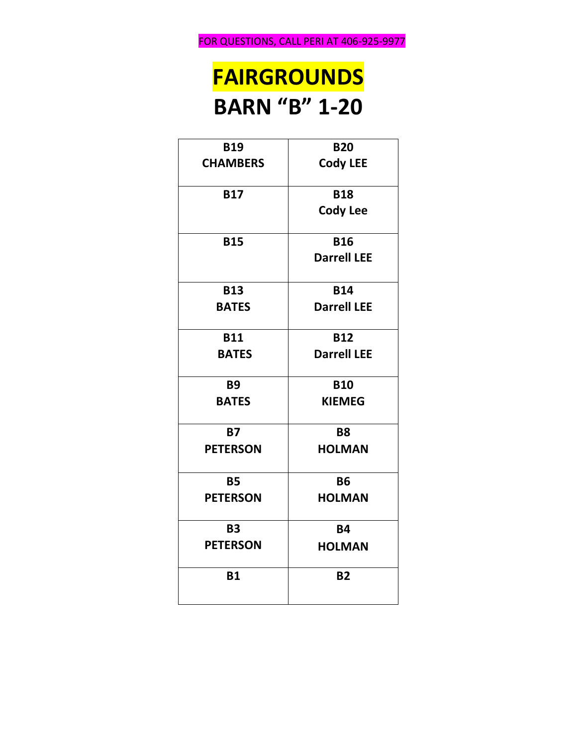## **FAIRGROUNDS BARN "B" 1-20**

| <b>B19</b>      | <b>B20</b>         |
|-----------------|--------------------|
| <b>CHAMBERS</b> | <b>Cody LEE</b>    |
| <b>B17</b>      | <b>B18</b>         |
|                 | <b>Cody Lee</b>    |
| <b>B15</b>      | <b>B16</b>         |
|                 | <b>Darrell LEE</b> |
| <b>B13</b>      | <b>B14</b>         |
| <b>BATES</b>    | <b>Darrell LEE</b> |
| <b>B11</b>      | <b>B12</b>         |
| <b>BATES</b>    | <b>Darrell LEE</b> |
| <b>B9</b>       | <b>B10</b>         |
| <b>BATES</b>    | <b>KIEMEG</b>      |
| <b>B7</b>       | <b>B8</b>          |
| <b>PETERSON</b> | <b>HOLMAN</b>      |
| <b>B5</b>       | <b>B6</b>          |
| <b>PETERSON</b> | <b>HOLMAN</b>      |
| <b>B3</b>       | <b>B4</b>          |
| <b>PETERSON</b> | <b>HOLMAN</b>      |
| <b>B1</b>       | <b>B2</b>          |
|                 |                    |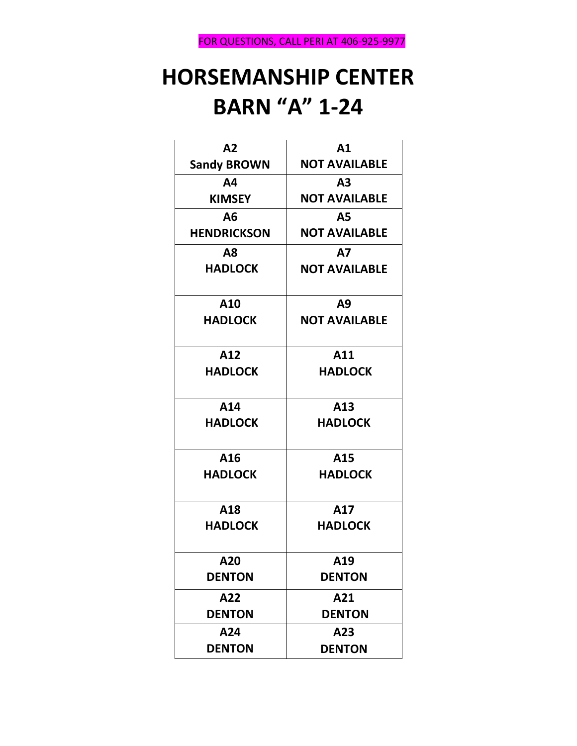### **HORSEMANSHIP CENTER BARN "A" 1-24**

| A2                 | A1                   |
|--------------------|----------------------|
| <b>Sandy BROWN</b> | <b>NOT AVAILABLE</b> |
| A4                 | A3                   |
| <b>KIMSEY</b>      | <b>NOT AVAILABLE</b> |
| A6                 | <b>A5</b>            |
| <b>HENDRICKSON</b> | <b>NOT AVAILABLE</b> |
| Α8                 | <b>A7</b>            |
| <b>HADLOCK</b>     | <b>NOT AVAILABLE</b> |
| A10                | A9                   |
| <b>HADLOCK</b>     | <b>NOT AVAILABLE</b> |
| A12                | A11                  |
| <b>HADLOCK</b>     | <b>HADLOCK</b>       |
| A14                | A13                  |
| <b>HADLOCK</b>     | <b>HADLOCK</b>       |
| A16                | A15                  |
| <b>HADLOCK</b>     | <b>HADLOCK</b>       |
| A18                | A17                  |
| <b>HADLOCK</b>     | <b>HADLOCK</b>       |
| A20                | A19                  |
| <b>DENTON</b>      | <b>DENTON</b>        |
| A22                | A21                  |
| <b>DENTON</b>      | <b>DENTON</b>        |
| A24                | A23                  |
| <b>DENTON</b>      | <b>DENTON</b>        |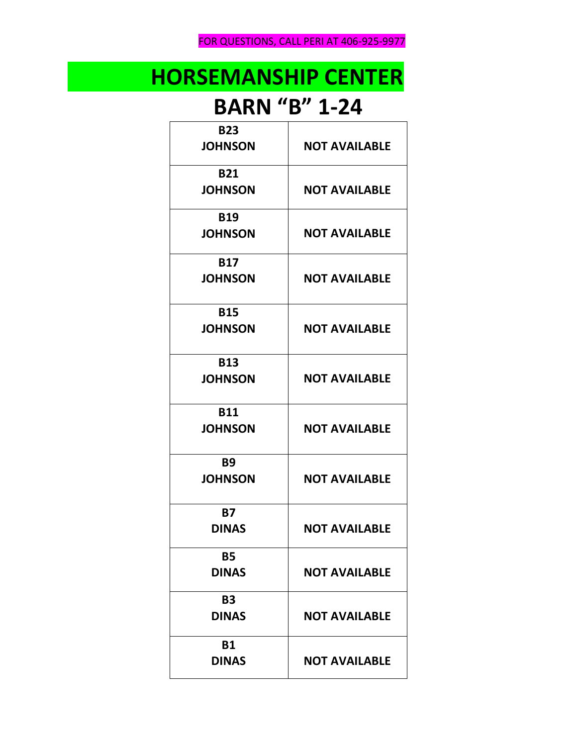FOR QUESTIONS, CALL PERI AT 406-925-9977

# **HORSEMANSHIP CENTER**

#### **BARN "B" 1-24**

| <b>B23</b>     |                      |
|----------------|----------------------|
| <b>JOHNSON</b> | <b>NOT AVAILABLE</b> |
| <b>B21</b>     |                      |
| <b>JOHNSON</b> | <b>NOT AVAILABLE</b> |
| <b>B19</b>     |                      |
| <b>JOHNSON</b> | <b>NOT AVAILABLE</b> |
| <b>B17</b>     |                      |
| <b>JOHNSON</b> | <b>NOT AVAILABLE</b> |
| <b>B15</b>     |                      |
| <b>JOHNSON</b> | <b>NOT AVAILABLE</b> |
| <b>B13</b>     |                      |
| <b>JOHNSON</b> | <b>NOT AVAILABLE</b> |
| <b>B11</b>     |                      |
| <b>JOHNSON</b> | <b>NOT AVAILABLE</b> |
| <b>B9</b>      |                      |
| <b>JOHNSON</b> | <b>NOT AVAILABLE</b> |
| <b>B7</b>      |                      |
| <b>DINAS</b>   | <b>NOT AVAILABLE</b> |
| <b>B5</b>      |                      |
| <b>DINAS</b>   | <b>NOT AVAILABLE</b> |
| <b>B3</b>      |                      |
| <b>DINAS</b>   | <b>NOT AVAILABLE</b> |
| <b>B1</b>      |                      |
| <b>DINAS</b>   | <b>NOT AVAILABLE</b> |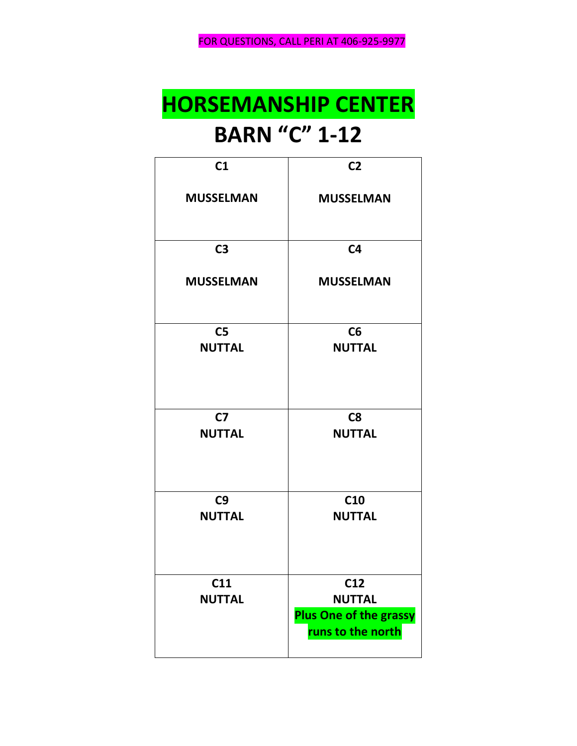## **HORSEMANSHIP CENTER BARN "C" 1-12**

| C <sub>1</sub>                  | C <sub>2</sub>                                                             |
|---------------------------------|----------------------------------------------------------------------------|
| <b>MUSSELMAN</b>                | <b>MUSSELMAN</b>                                                           |
| C <sub>3</sub>                  | C <sub>4</sub>                                                             |
| <b>MUSSELMAN</b>                | <b>MUSSELMAN</b>                                                           |
| C <sub>5</sub><br><b>NUTTAL</b> | C6<br><b>NUTTAL</b>                                                        |
| C <sub>7</sub><br><b>NUTTAL</b> | C8<br><b>NUTTAL</b>                                                        |
| C9<br><b>NUTTAL</b>             | C <sub>10</sub><br><b>NUTTAL</b>                                           |
| C11<br><b>NUTTAL</b>            | C12<br><b>NUTTAL</b><br><b>Plus One of the grassy</b><br>runs to the north |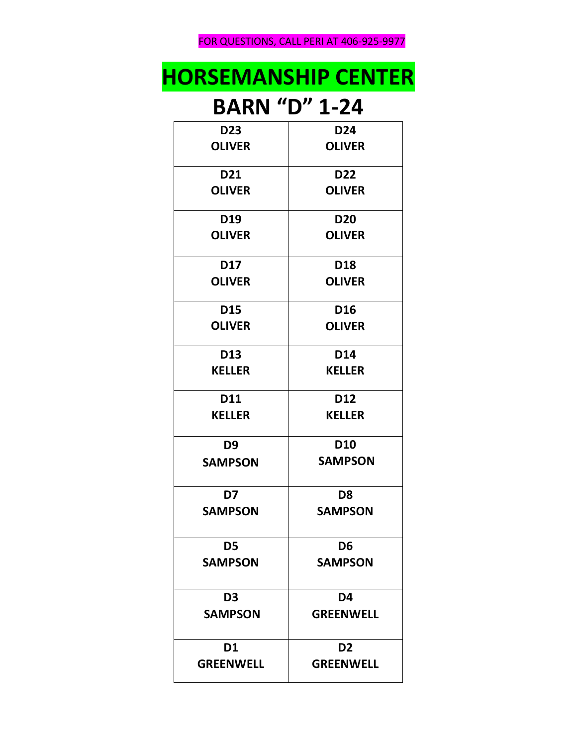FOR QUESTIONS, CALL PERI AT 406-925-9977

## **HORSEMANSHIP CENTER**

#### **BARN "D" 1-24**

| D <sub>23</sub>  | D <sub>24</sub>  |
|------------------|------------------|
| <b>OLIVER</b>    | <b>OLIVER</b>    |
|                  |                  |
| D21              | D <sub>22</sub>  |
| <b>OLIVER</b>    | <b>OLIVER</b>    |
|                  |                  |
| D19              | <b>D20</b>       |
| <b>OLIVER</b>    | <b>OLIVER</b>    |
| D17              | D <sub>18</sub>  |
| <b>OLIVER</b>    | <b>OLIVER</b>    |
|                  |                  |
| D15              | D <sub>16</sub>  |
| <b>OLIVER</b>    | <b>OLIVER</b>    |
|                  |                  |
| D13              | <b>D14</b>       |
| <b>KELLER</b>    | <b>KELLER</b>    |
| D11              | D12              |
|                  |                  |
| <b>KELLER</b>    | <b>KELLER</b>    |
| D9               | <b>D10</b>       |
| <b>SAMPSON</b>   | <b>SAMPSON</b>   |
|                  |                  |
| D7               | D <sub>8</sub>   |
| <b>SAMPSON</b>   | <b>SAMPSON</b>   |
|                  |                  |
| D5               | D <sub>6</sub>   |
| <b>SAMPSON</b>   | <b>SAMPSON</b>   |
|                  |                  |
| D <sub>3</sub>   | D4               |
| <b>SAMPSON</b>   | <b>GREENWELL</b> |
|                  |                  |
| D <sub>1</sub>   | D <sub>2</sub>   |
| <b>GREENWELL</b> | <b>GREENWELL</b> |
|                  |                  |